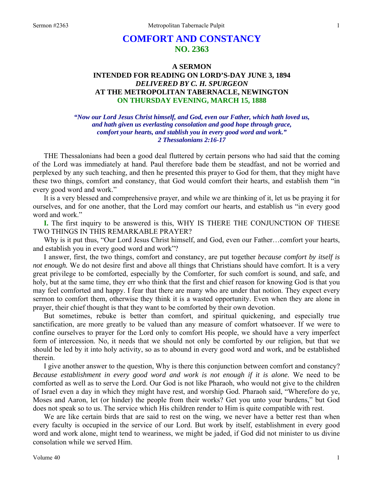# **COMFORT AND CONSTANCY NO. 2363**

## **A SERMON INTENDED FOR READING ON LORD'S-DAY JUNE 3, 1894**  *DELIVERED BY C. H. SPURGEON*  **AT THE METROPOLITAN TABERNACLE, NEWINGTON ON THURSDAY EVENING, MARCH 15, 1888**

#### *"Now our Lord Jesus Christ himself, and God, even our Father, which hath loved us, and hath given us everlasting consolation and good hope through grace, comfort your hearts, and stablish you in every good word and work." 2 Thessalonians 2:16-17*

THE Thessalonians had been a good deal fluttered by certain persons who had said that the coming of the Lord was immediately at hand. Paul therefore bade them be steadfast, and not be worried and perplexed by any such teaching, and then he presented this prayer to God for them, that they might have these two things, comfort and constancy, that God would comfort their hearts, and establish them "in every good word and work."

It is a very blessed and comprehensive prayer, and while we are thinking of it, let us be praying it for ourselves, and for one another, that the Lord may comfort our hearts, and establish us "in every good word and work."

**I.** The first inquiry to be answered is this, WHY IS THERE THE CONJUNCTION OF THESE TWO THINGS IN THIS REMARKABLE PRAYER?

Why is it put thus, "Our Lord Jesus Christ himself, and God, even our Father…comfort your hearts, and establish you in every good word and work"?

I answer, first, the two things, comfort and constancy, are put together *because comfort by itself is not enough.* We do not desire first and above all things that Christians should have comfort. It is a very great privilege to be comforted, especially by the Comforter, for such comfort is sound, and safe, and holy, but at the same time, they err who think that the first and chief reason for knowing God is that you may feel comforted and happy. I fear that there are many who are under that notion. They expect every sermon to comfort them, otherwise they think it is a wasted opportunity. Even when they are alone in prayer, their chief thought is that they want to be comforted by their own devotion.

But sometimes, rebuke is better than comfort, and spiritual quickening, and especially true sanctification, are more greatly to be valued than any measure of comfort whatsoever. If we were to confine ourselves to prayer for the Lord only to comfort His people, we should have a very imperfect form of intercession. No, it needs that we should not only be comforted by our religion, but that we should be led by it into holy activity, so as to abound in every good word and work, and be established therein.

I give another answer to the question, Why is there this conjunction between comfort and constancy? *Because establishment in every good word and work is not enough if it is alone.* We need to be comforted as well as to serve the Lord. Our God is not like Pharaoh, who would not give to the children of Israel even a day in which they might have rest, and worship God. Pharaoh said, "Wherefore do ye, Moses and Aaron, let (or hinder) the people from their works? Get you unto your burdens," but God does not speak so to us. The service which His children render to Him is quite compatible with rest.

We are like certain birds that are said to rest on the wing, we never have a better rest than when every faculty is occupied in the service of our Lord. But work by itself, establishment in every good word and work alone, might tend to weariness, we might be jaded, if God did not minister to us divine consolation while we served Him.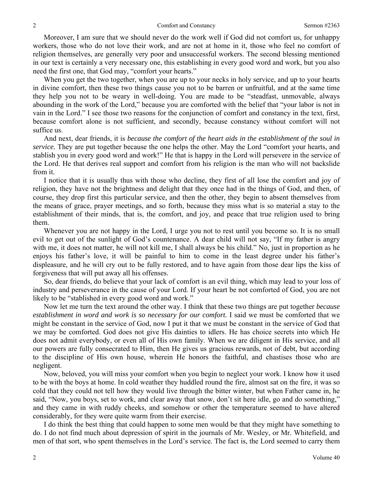Moreover, I am sure that we should never do the work well if God did not comfort us, for unhappy workers, those who do not love their work, and are not at home in it, those who feel no comfort of religion themselves, are generally very poor and unsuccessful workers. The second blessing mentioned in our text is certainly a very necessary one, this establishing in every good word and work, but you also need the first one, that God may, "comfort your hearts."

When you get the two together, when you are up to your necks in holy service, and up to your hearts in divine comfort, then these two things cause you not to be barren or unfruitful, and at the same time they help you not to be weary in well-doing. You are made to be "steadfast, unmovable, always abounding in the work of the Lord," because you are comforted with the belief that "your labor is not in vain in the Lord." I see those two reasons for the conjunction of comfort and constancy in the text, first, because comfort alone is not sufficient, and secondly, because constancy without comfort will not suffice us.

And next, dear friends, it is *because the comfort of the heart aids in the establishment of the soul in service.* They are put together because the one helps the other. May the Lord "comfort your hearts, and stablish you in every good word and work!" He that is happy in the Lord will persevere in the service of the Lord. He that derives real support and comfort from his religion is the man who will not backslide from it.

I notice that it is usually thus with those who decline, they first of all lose the comfort and joy of religion, they have not the brightness and delight that they once had in the things of God, and then, of course, they drop first this particular service, and then the other, they begin to absent themselves from the means of grace, prayer meetings, and so forth, because they miss what is so material a stay to the establishment of their minds, that is, the comfort, and joy, and peace that true religion used to bring them.

Whenever you are not happy in the Lord, I urge you not to rest until you become so. It is no small evil to get out of the sunlight of God's countenance. A dear child will not say, "If my father is angry with me, it does not matter, he will not kill me, I shall always be his child." No, just in proportion as he enjoys his father's love, it will be painful to him to come in the least degree under his father's displeasure, and he will cry out to be fully restored, and to have again from those dear lips the kiss of forgiveness that will put away all his offenses.

So, dear friends, do believe that your lack of comfort is an evil thing, which may lead to your loss of industry and perseverance in the cause of your Lord. If your heart be not comforted of God, you are not likely to be "stablished in every good word and work."

Now let me turn the text around the other way. I think that these two things are put together *because*  establishment in word and work is so necessary for our comfort. I said we must be comforted that we might be constant in the service of God, now I put it that we must be constant in the service of God that we may be comforted. God does not give His dainties to idlers. He has choice secrets into which He does not admit everybody, or even all of His own family. When we are diligent in His service, and all our powers are fully consecrated to Him, then He gives us gracious rewards, not of debt, but according to the discipline of His own house, wherein He honors the faithful, and chastises those who are negligent.

Now, beloved, you will miss your comfort when you begin to neglect your work. I know how it used to be with the boys at home. In cold weather they huddled round the fire, almost sat on the fire, it was so cold that they could not tell how they would live through the bitter winter, but when Father came in, he said, "Now, you boys, set to work, and clear away that snow, don't sit here idle, go and do something," and they came in with ruddy cheeks, and somehow or other the temperature seemed to have altered considerably, for they were quite warm from their exercise.

I do think the best thing that could happen to some men would be that they might have something to do. I do not find much about depression of spirit in the journals of Mr. Wesley, or Mr. Whitefield, and men of that sort, who spent themselves in the Lord's service. The fact is, the Lord seemed to carry them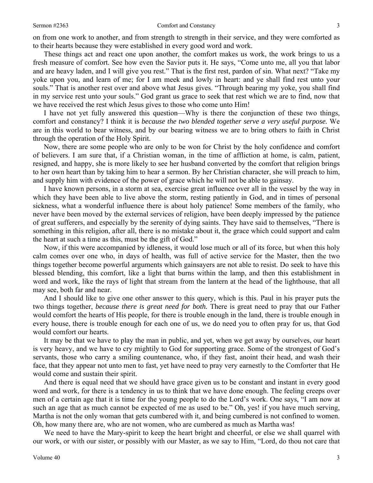on from one work to another, and from strength to strength in their service, and they were comforted as to their hearts because they were established in every good word and work.

These things act and react one upon another, the comfort makes us work, the work brings to us a fresh measure of comfort. See how even the Savior puts it. He says, "Come unto me, all you that labor and are heavy laden, and I will give you rest." That is the first rest, pardon of sin. What next? "Take my yoke upon you, and learn of me; for I am meek and lowly in heart: and ye shall find rest unto your souls." That is another rest over and above what Jesus gives. "Through bearing my yoke, you shall find in my service rest unto your souls." God grant us grace to seek that rest which we are to find, now that we have received the rest which Jesus gives to those who come unto Him!

I have not yet fully answered this question—Why is there the conjunction of these two things, comfort and constancy? I think it is *because the two blended together serve a very useful purpose.* We are in this world to bear witness, and by our bearing witness we are to bring others to faith in Christ through the operation of the Holy Spirit.

Now, there are some people who are only to be won for Christ by the holy confidence and comfort of believers. I am sure that, if a Christian woman, in the time of affliction at home, is calm, patient, resigned, and happy, she is more likely to see her husband converted by the comfort that religion brings to her own heart than by taking him to hear a sermon. By her Christian character, she will preach to him, and supply him with evidence of the power of grace which he will not be able to gainsay.

I have known persons, in a storm at sea, exercise great influence over all in the vessel by the way in which they have been able to live above the storm, resting patiently in God, and in times of personal sickness, what a wonderful influence there is about holy patience! Some members of the family, who never have been moved by the external services of religion, have been deeply impressed by the patience of great sufferers, and especially by the serenity of dying saints. They have said to themselves, "There is something in this religion, after all, there is no mistake about it, the grace which could support and calm the heart at such a time as this, must be the gift of God."

Now, if this were accompanied by idleness, it would lose much or all of its force, but when this holy calm comes over one who, in days of health, was full of active service for the Master, then the two things together become powerful arguments which gainsayers are not able to resist. Do seek to have this blessed blending, this comfort, like a light that burns within the lamp, and then this establishment in word and work, like the rays of light that stream from the lantern at the head of the lighthouse, that all may see, both far and near.

And I should like to give one other answer to this query, which is this. Paul in his prayer puts the two things together, *because there is great need for both.* There is great need to pray that our Father would comfort the hearts of His people, for there is trouble enough in the land, there is trouble enough in every house, there is trouble enough for each one of us, we do need you to often pray for us, that God would comfort our hearts.

It may be that we have to play the man in public, and yet, when we get away by ourselves, our heart is very heavy, and we have to cry mightily to God for supporting grace. Some of the strongest of God's servants, those who carry a smiling countenance, who, if they fast, anoint their head, and wash their face, that they appear not unto men to fast, yet have need to pray very earnestly to the Comforter that He would come and sustain their spirit.

And there is equal need that we should have grace given us to be constant and instant in every good word and work, for there is a tendency in us to think that we have done enough. The feeling creeps over men of a certain age that it is time for the young people to do the Lord's work. One says, "I am now at such an age that as much cannot be expected of me as used to be." Oh, yes! if you have much serving, Martha is not the only woman that gets cumbered with it, and being cumbered is not confined to women. Oh, how many there are, who are not women, who are cumbered as much as Martha was!

We need to have the Mary-spirit to keep the heart bright and cheerful, or else we shall quarrel with our work, or with our sister, or possibly with our Master, as we say to Him, "Lord, do thou not care that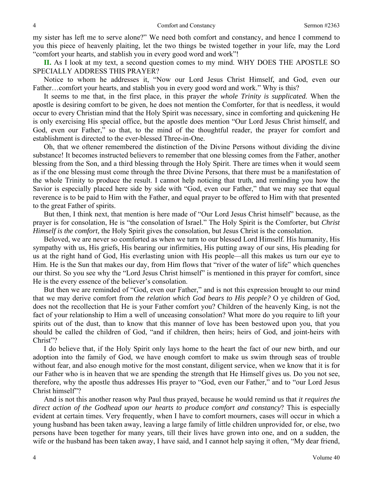my sister has left me to serve alone?" We need both comfort and constancy, and hence I commend to you this piece of heavenly plaiting, let the two things be twisted together in your life, may the Lord "comfort your hearts, and stablish you in every good word and work"!

**II.** As I look at my text, a second question comes to my mind. WHY DOES THE APOSTLE SO SPECIALLY ADDRESS THIS PRAYER?

Notice to whom he addresses it, "Now our Lord Jesus Christ Himself, and God, even our Father…comfort your hearts, and stablish you in every good word and work." Why is this?

It seems to me that, in the first place, in this prayer *the whole Trinity is supplicated.* When the apostle is desiring comfort to be given, he does not mention the Comforter, for that is needless, it would occur to every Christian mind that the Holy Spirit was necessary, since in comforting and quickening He is only exercising His special office, but the apostle does mention "Our Lord Jesus Christ himself, and God, even our Father," so that, to the mind of the thoughtful reader, the prayer for comfort and establishment is directed to the ever-blessed Three-in-One.

Oh, that we oftener remembered the distinction of the Divine Persons without dividing the divine substance! It becomes instructed believers to remember that one blessing comes from the Father, another blessing from the Son, and a third blessing through the Holy Spirit. There are times when it would seem as if the one blessing must come through the three Divine Persons, that there must be a manifestation of the whole Trinity to produce the result. I cannot help noticing that truth, and reminding you how the Savior is especially placed here side by side with "God, even our Father," that we may see that equal reverence is to be paid to Him with the Father, and equal prayer to be offered to Him with that presented to the great Father of spirits.

But then, I think next, that mention is here made of "Our Lord Jesus Christ himself" because, as the prayer is for consolation, He is "the consolation of Israel." The Holy Spirit is the Comforter, but *Christ Himself is the comfort,* the Holy Spirit gives the consolation, but Jesus Christ is the consolation.

Beloved, we are never so comforted as when we turn to our blessed Lord Himself. His humanity, His sympathy with us, His griefs, His bearing our infirmities, His putting away of our sins, His pleading for us at the right hand of God, His everlasting union with His people—all this makes us turn our eye to Him. He is the Sun that makes our day, from Him flows that "river of the water of life" which quenches our thirst. So you see why the "Lord Jesus Christ himself" is mentioned in this prayer for comfort, since He is the every essence of the believer's consolation.

But then we are reminded of "God, even our Father," and is not this expression brought to our mind that we may derive comfort from *the relation which God bears to His people?* O ye children of God, does not the recollection that He is your Father comfort you? Children of the heavenly King, is not the fact of your relationship to Him a well of unceasing consolation? What more do you require to lift your spirits out of the dust, than to know that this manner of love has been bestowed upon you, that you should be called the children of God, "and if children, then heirs; heirs of God, and joint-heirs with Christ"?

I do believe that, if the Holy Spirit only lays home to the heart the fact of our new birth, and our adoption into the family of God, we have enough comfort to make us swim through seas of trouble without fear, and also enough motive for the most constant, diligent service, when we know that it is for our Father who is in heaven that we are spending the strength that He Himself gives us. Do you not see, therefore, why the apostle thus addresses His prayer to "God, even our Father," and to "our Lord Jesus Christ himself"?

And is not this another reason why Paul thus prayed, because he would remind us that *it requires the direct action of the Godhead upon our hearts to produce comfort and constancy*? This is especially evident at certain times. Very frequently, when I have to comfort mourners, cases will occur in which a young husband has been taken away, leaving a large family of little children unprovided for, or else, two persons have been together for many years, till their lives have grown into one, and on a sudden, the wife or the husband has been taken away, I have said, and I cannot help saying it often, "My dear friend,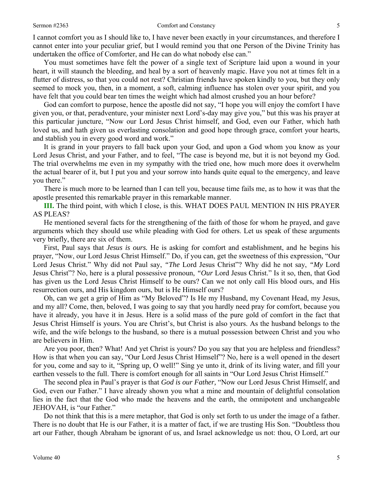#### Sermon #2363 **Comfort and Constancy** 5

I cannot comfort you as I should like to, I have never been exactly in your circumstances, and therefore I cannot enter into your peculiar grief, but I would remind you that one Person of the Divine Trinity has undertaken the office of Comforter, and He can do what nobody else can."

You must sometimes have felt the power of a single text of Scripture laid upon a wound in your heart, it will staunch the bleeding, and heal by a sort of heavenly magic. Have you not at times felt in a flutter of distress, so that you could not rest? Christian friends have spoken kindly to you, but they only seemed to mock you, then, in a moment, a soft, calming influence has stolen over your spirit, and you have felt that you could bear ten times the weight which had almost crushed you an hour before?

God can comfort to purpose, hence the apostle did not say, "I hope you will enjoy the comfort I have given you, or that, peradventure, your minister next Lord's-day may give you," but this was his prayer at this particular juncture, "Now our Lord Jesus Christ himself, and God, even our Father, which hath loved us, and hath given us everlasting consolation and good hope through grace, comfort your hearts, and stablish you in every good word and work."

It is grand in your prayers to fall back upon your God, and upon a God whom you know as your Lord Jesus Christ, and your Father, and to feel, "The case is beyond me, but it is not beyond my God. The trial overwhelms me even in my sympathy with the tried one, how much more does it overwhelm the actual bearer of it, but I put you and your sorrow into hands quite equal to the emergency, and leave you there."

There is much more to be learned than I can tell you, because time fails me, as to how it was that the apostle presented this remarkable prayer in this remarkable manner.

**III.** The third point, with which I close, is this. WHAT DOES PAUL MENTION IN HIS PRAYER AS PLEAS?

He mentioned several facts for the strengthening of the faith of those for whom he prayed, and gave arguments which they should use while pleading with God for others. Let us speak of these arguments very briefly, there are six of them.

First, Paul says that *Jesus is ours.* He is asking for comfort and establishment, and he begins his prayer, "Now, our Lord Jesus Christ Himself." Do, if you can, get the sweetness of this expression, "Our Lord Jesus Christ." Why did not Paul say, *"The* Lord Jesus Christ"? Why did he not say, *"My* Lord Jesus Christ"? No, here is a plural possessive pronoun, *"Our* Lord Jesus Christ." Is it so, then, that God has given us the Lord Jesus Christ Himself to be ours? Can we not only call His blood ours, and His resurrection ours, and His kingdom ours, but is He Himself ours?

Oh, can we get a grip of Him as "My Beloved"? Is He my Husband, my Covenant Head, my Jesus, and my all? Come, then, beloved, I was going to say that you hardly need pray for comfort, because you have it already, you have it in Jesus. Here is a solid mass of the pure gold of comfort in the fact that Jesus Christ Himself is yours. You are Christ's, but Christ is also yours. As the husband belongs to the wife, and the wife belongs to the husband, so there is a mutual possession between Christ and you who are believers in Him.

Are you poor, then? What! And yet Christ is yours? Do you say that you are helpless and friendless? How is that when you can say, "Our Lord Jesus Christ Himself"? No, here is a well opened in the desert for you, come and say to it, "Spring up, O well!" Sing ye unto it, drink of its living water, and fill your earthen vessels to the full. There is comfort enough for all saints in "Our Lord Jesus Christ Himself."

The second plea in Paul's prayer is that *God is our Father,* "Now our Lord Jesus Christ Himself, and God, even our Father." I have already shown you what a mine and mountain of delightful consolation lies in the fact that the God who made the heavens and the earth, the omnipotent and unchangeable JEHOVAH, is "our Father."

Do not think that this is a mere metaphor, that God is only set forth to us under the image of a father. There is no doubt that He is our Father, it is a matter of fact, if we are trusting His Son. "Doubtless thou art our Father, though Abraham be ignorant of us, and Israel acknowledge us not: thou, O Lord, art our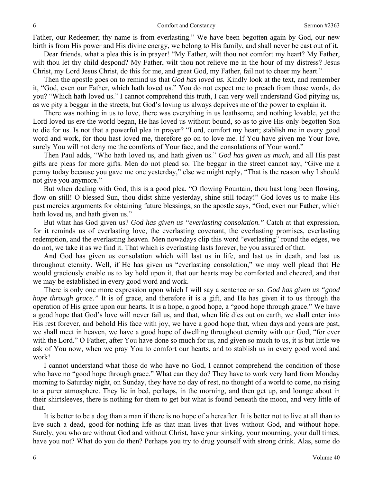Father, our Redeemer; thy name is from everlasting." We have been begotten again by God, our new birth is from His power and His divine energy, we belong to His family, and shall never be cast out of it.

Dear friends, what a plea this is in prayer! "My Father, wilt thou not comfort my heart? My Father, wilt thou let thy child despond? My Father, wilt thou not relieve me in the hour of my distress? Jesus Christ, my Lord Jesus Christ, do this for me, and great God, my Father, fail not to cheer my heart."

Then the apostle goes on to remind us that *God has loved us.* Kindly look at the text, and remember it, "God, even our Father, which hath loved us." You do not expect me to preach from those words, do you? "Which hath loved us." I cannot comprehend this truth, I can very well understand God pitying us, as we pity a beggar in the streets, but God's loving us always deprives me of the power to explain it.

There was nothing in us to love, there was everything in us loathsome, and nothing lovable, yet the Lord loved us ere the world began, He has loved us without bound, so as to give His only-begotten Son to die for us. Is not that a powerful plea in prayer? "Lord, comfort my heart; stablish me in every good word and work, for thou hast loved me, therefore go on to love me. If You have given me Your love, surely You will not deny me the comforts of Your face, and the consolations of Your word."

Then Paul adds, "Who hath loved us, and hath given us." *God has given us much,* and all His past gifts are pleas for more gifts. Men do not plead so. The beggar in the street cannot say, "Give me a penny today because you gave me one yesterday," else we might reply, "That is the reason why I should not give you anymore."

But when dealing with God, this is a good plea. "O flowing Fountain, thou hast long been flowing, flow on still! O blessed Sun, thou didst shine yesterday, shine still today!" God loves us to make His past mercies arguments for obtaining future blessings, so the apostle says, "God, even our Father, which hath loved us, and hath given us."

But what has God given us? *God has given us "everlasting consolation."* Catch at that expression, for it reminds us of everlasting love, the everlasting covenant, the everlasting promises, everlasting redemption, and the everlasting heaven. Men nowadays clip this word "everlasting" round the edges, we do not, we take it as we find it. That which is everlasting lasts forever, be you assured of that.

And God has given us consolation which will last us in life, and last us in death, and last us throughout eternity. Well, if He has given us "everlasting consolation," we may well plead that He would graciously enable us to lay hold upon it, that our hearts may be comforted and cheered, and that we may be established in every good word and work.

There is only one more expression upon which I will say a sentence or so. *God has given us "good hope through grace.*" It is of grace, and therefore it is a gift, and He has given it to us through the operation of His grace upon our hearts. It is a hope, a good hope, a "good hope through grace." We have a good hope that God's love will never fail us, and that, when life dies out on earth, we shall enter into His rest forever, and behold His face with joy, we have a good hope that, when days and years are past, we shall meet in heaven, we have a good hope of dwelling throughout eternity with our God, "for ever with the Lord." O Father, after You have done so much for us, and given so much to us, it is but little we ask of You now, when we pray You to comfort our hearts, and to stablish us in every good word and work!

I cannot understand what those do who have no God, I cannot comprehend the condition of those who have no "good hope through grace." What can they do? They have to work very hard from Monday morning to Saturday night, on Sunday, they have no day of rest, no thought of a world to come, no rising to a purer atmosphere. They lie in bed, perhaps, in the morning, and then get up, and lounge about in their shirtsleeves, there is nothing for them to get but what is found beneath the moon, and very little of that.

It is better to be a dog than a man if there is no hope of a hereafter. It is better not to live at all than to live such a dead, good-for-nothing life as that man lives that lives without God, and without hope. Surely, you who are without God and without Christ, have your sinking, your mourning, your dull times, have you not? What do you do then? Perhaps you try to drug yourself with strong drink. Alas, some do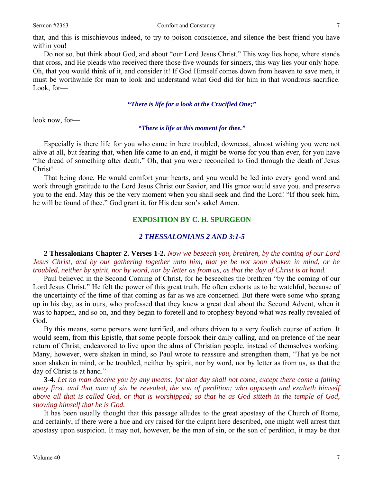that, and this is mischievous indeed, to try to poison conscience, and silence the best friend you have within you!

Do not so, but think about God, and about "our Lord Jesus Christ." This way lies hope, where stands that cross, and He pleads who received there those five wounds for sinners, this way lies your only hope. Oh, that you would think of it, and consider it! If God Himself comes down from heaven to save men, it must be worthwhile for man to look and understand what God did for him in that wondrous sacrifice. Look, for—

#### *"There is life for a look at the Crucified One;"*

look now, for—

#### *"There is life at this moment for thee."*

Especially is there life for you who came in here troubled, downcast, almost wishing you were not alive at all, but fearing that, when life came to an end, it might be worse for you than ever, for you have "the dread of something after death." Oh, that you were reconciled to God through the death of Jesus Christ!

That being done, He would comfort your hearts, and you would be led into every good word and work through gratitude to the Lord Jesus Christ our Savior, and His grace would save you, and preserve you to the end. May this be the very moment when you shall seek and find the Lord! "If thou seek him, he will be found of thee." God grant it, for His dear son's sake! Amen.

### **EXPOSITION BY C. H. SPURGEON**

### *2 THESSALONIANS 2 AND 3:1-5*

**2 Thessalonians Chapter 2. Verses 1-2.** *Now we beseech you, brethren, by the coming of our Lord Jesus Christ, and by our gathering together unto him, that ye be not soon shaken in mind, or be troubled, neither by spirit, nor by word, nor by letter as from us, as that the day of Christ is at hand.* 

Paul believed in the Second Coming of Christ, for he beseeches the brethren "by the coming of our Lord Jesus Christ." He felt the power of this great truth. He often exhorts us to be watchful, because of the uncertainty of the time of that coming as far as we are concerned. But there were some who sprang up in his day, as in ours, who professed that they knew a great deal about the Second Advent, when it was to happen, and so on, and they began to foretell and to prophesy beyond what was really revealed of God.

By this means, some persons were terrified, and others driven to a very foolish course of action. It would seem, from this Epistle, that some people forsook their daily calling, and on pretence of the near return of Christ, endeavored to live upon the alms of Christian people, instead of themselves working. Many, however, were shaken in mind, so Paul wrote to reassure and strengthen them, "That ye be not soon shaken in mind, or be troubled, neither by spirit, nor by word, nor by letter as from us, as that the day of Christ is at hand."

**3-4.** *Let no man deceive you by any means: for that day shall not come, except there come a falling away first, and that man of sin be revealed, the son of perdition; who opposeth and exalteth himself above all that is called God, or that is worshipped; so that he as God sitteth in the temple of God, showing himself that he is God.* 

It has been usually thought that this passage alludes to the great apostasy of the Church of Rome, and certainly, if there were a hue and cry raised for the culprit here described, one might well arrest that apostasy upon suspicion. It may not, however, be the man of sin, or the son of perdition, it may be that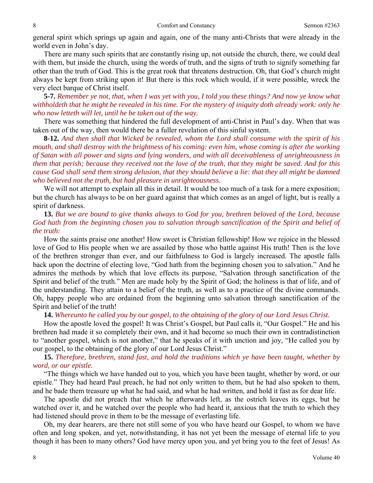general spirit which springs up again and again, one of the many anti-Christs that were already in the world even in John's day.

There are many such spirits that are constantly rising up, not outside the church, there, we could deal with them, but inside the church, using the words of truth, and the signs of truth to signify something far other than the truth of God. This is the great rook that threatens destruction. Oh, that God's church might always be kept from striking upon it! But there is this rock which would, if it were possible, wreck the very elect barque of Christ itself.

**5-7.** *Remember ye not, that, when I was yet with you, I told you these things? And now ye know what withholdeth that he might be revealed in his time. For the mystery of iniquity doth already work: only he who now letteth will let, until he be taken out of the way.* 

There was something that hindered the full development of anti-Christ in Paul's day. When that was taken out of the way, then would there be a fuller revelation of this sinful system.

**8-12.** *And then shall that Wicked be revealed, whom the Lord shall consume with the spirit of his mouth, and shall destroy with the brightness of his coming: even him, whose coming is after the working of Satan with all power and signs and lying wonders, and with all deceivableness of unrighteousness in them that perish; because they received not the love of the truth, that they might be saved. And for this cause God shall send them strong delusion, that they should believe a lie: that they all might be damned who believed not the truth, but had pleasure in unrighteousness.* 

We will not attempt to explain all this in detail. It would be too much of a task for a mere exposition; but the church has always to be on her guard against that which comes as an angel of light, but is really a spirit of darkness.

**13.** *But we are bound to give thanks always to God for you, brethren beloved of the Lord, because God hath from the beginning chosen you to salvation through sanctification of the Spirit and belief of the truth:* 

How the saints praise one another! How sweet is Christian fellowship! How we rejoice in the blessed love of God to His people when we are assailed by those who battle against His truth! Then is the love of the brethren stronger than ever, and our faithfulness to God is largely increased. The apostle falls back upon the doctrine of electing love, "God hath from the beginning chosen you to salvation." And he admires the methods by which that love effects its purpose, "Salvation through sanctification of the Spirit and belief of the truth." Men are made holy by the Spirit of God; the holiness is that of life, and of the understanding. They attain to a belief of the truth, as well as to a practice of the divine commands. Oh, happy people who are ordained from the beginning unto salvation through sanctification of the Spirit and belief of the truth!

**14.** *Whereunto he called you by our gospel, to the obtaining of the glory of our Lord Jesus Christ.* 

How the apostle loved the gospel! It was Christ's Gospel, but Paul calls it, "Our Gospel." He and his brethren had made it so completely their own, and it had become so much their own in contradistinction to "another gospel, which is not another," that he speaks of it with unction and joy, "He called you by our gospel, to the obtaining of the glory of our Lord Jesus Christ."

## **15.** *Therefore, brethren, stand fast, and hold the traditions which ye have been taught, whether by word, or our epistle.*

"The things which we have handed out to you, which you have been taught, whether by word, or our epistle." They had heard Paul preach, he had not only written to them, but he had also spoken to them, and he bade them treasure up what he had said, and what he had written, and hold it fast as for dear life.

The apostle did not preach that which he afterwards left, as the ostrich leaves its eggs, but he watched over it, and he watched over the people who had heard it, anxious that the truth to which they had listened should prove in them to be the message of everlasting life.

Oh, my dear hearers, are there not still some of you who have heard our Gospel, to whom we have often and long spoken, and yet, notwithstanding, it has not yet been the message of eternal life to you though it has been to many others? God have mercy upon you, and yet bring you to the feet of Jesus! As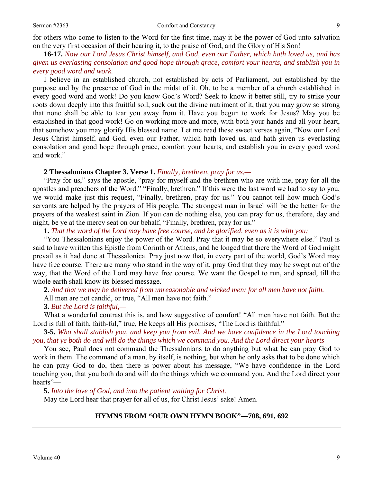for others who come to listen to the Word for the first time, may it be the power of God unto salvation on the very first occasion of their hearing it, to the praise of God, and the Glory of His Son!

**16-17.** *Now our Lord Jesus Christ himself, and God, even our Father, which hath loved us, and has given us everlasting consolation and good hope through grace, comfort your hearts, and stablish you in every good word and work.* 

I believe in an established church, not established by acts of Parliament, but established by the purpose and by the presence of God in the midst of it. Oh, to be a member of a church established in every good word and work! Do you know God's Word? Seek to know it better still, try to strike your roots down deeply into this fruitful soil, suck out the divine nutriment of it, that you may grow so strong that none shall be able to tear you away from it. Have you begun to work for Jesus? May you be established in that good work! Go on working more and more, with both your hands and all your heart, that somehow you may glorify His blessed name. Let me read these sweet verses again, "Now our Lord Jesus Christ himself, and God, even our Father, which hath loved us, and hath given us everlasting consolation and good hope through grace, comfort your hearts, and establish you in every good word and work."

#### **2 Thessalonians Chapter 3. Verse 1.** *Finally, brethren, pray for us,—*

"Pray for us," says the apostle, "pray for myself and the brethren who are with me, pray for all the apostles and preachers of the Word." "Finally, brethren." If this were the last word we had to say to you, we would make just this request, "Finally, brethren, pray for us." You cannot tell how much God's servants are helped by the prayers of His people. The strongest man in Israel will be the better for the prayers of the weakest saint in Zion. If you can do nothing else, you can pray for us, therefore, day and night, be ye at the mercy seat on our behalf, "Finally, brethren, pray for us."

**1.** *That the word of the Lord may have free course, and be glorified, even as it is with you:* 

"You Thessalonians enjoy the power of the Word. Pray that it may be so everywhere else." Paul is said to have written this Epistle from Corinth or Athens, and he longed that there the Word of God might prevail as it had done at Thessalonica. Pray just now that, in every part of the world, God's Word may have free course. There are many who stand in the way of it, pray God that they may be swept out of the way, that the Word of the Lord may have free course. We want the Gospel to run, and spread, till the whole earth shall know its blessed message.

**2.** *And that we may be delivered from unreasonable and wicked men: for all men have not faith.*  All men are not candid, or true, "All men have not faith."

### **3.** *But the Lord is faithful,—*

What a wonderful contrast this is, and how suggestive of comfort! "All men have not faith. But the Lord is full of faith, faith-ful," true, He keeps all His promises, "The Lord is faithful."

**3-5.** *Who shall stablish you, and keep you from evil. And we have confidence in the Lord touching you, that ye both do and will do the things which we command you. And the Lord direct your hearts—* 

You see, Paul does not command the Thessalonians to do anything but what he can pray God to work in them. The command of a man, by itself, is nothing, but when he only asks that to be done which he can pray God to do, then there is power about his message, "We have confidence in the Lord touching you, that you both do and will do the things which we command you. And the Lord direct your hearts"—

**5.** *Into the love of God, and into the patient waiting for Christ.*  May the Lord hear that prayer for all of us, for Christ Jesus' sake! Amen.

#### **HYMNS FROM "OUR OWN HYMN BOOK"—708, 691, 692**